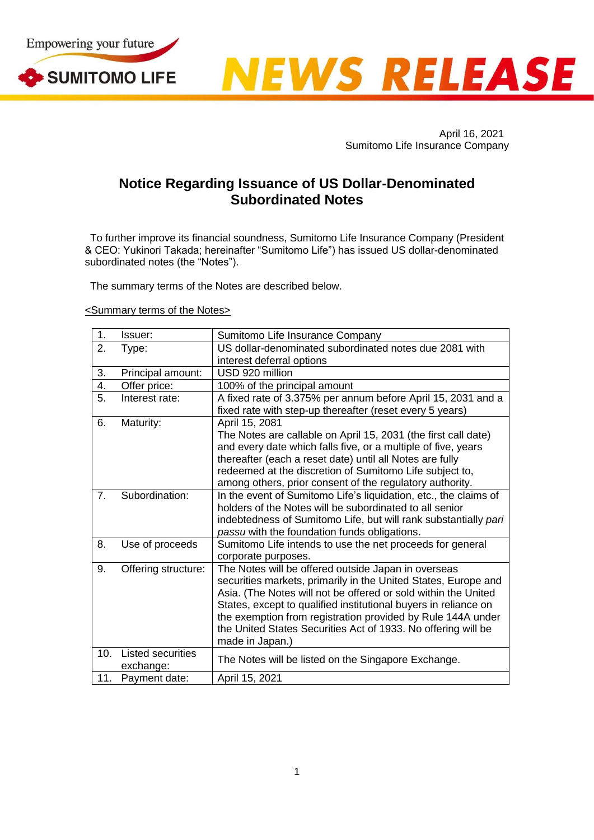



April 16, 2021 Sumitomo Life Insurance Company

## **Notice Regarding Issuance of US Dollar-Denominated Subordinated Notes**

To further improve its financial soundness, Sumitomo Life Insurance Company (President & CEO: Yukinori Takada; hereinafter "Sumitomo Life") has issued US dollar-denominated subordinated notes (the "Notes").

The summary terms of the Notes are described below.

## <Summary terms of the Notes>

| 1.  | Issuer:                        | Sumitomo Life Insurance Company                                  |
|-----|--------------------------------|------------------------------------------------------------------|
| 2.  | Type:                          | US dollar-denominated subordinated notes due 2081 with           |
|     |                                | interest deferral options                                        |
| 3.  | Principal amount:              | USD 920 million                                                  |
| 4.  | Offer price:                   | 100% of the principal amount                                     |
| 5.  | Interest rate:                 | A fixed rate of 3.375% per annum before April 15, 2031 and a     |
|     |                                | fixed rate with step-up thereafter (reset every 5 years)         |
| 6.  | Maturity:                      | April 15, 2081                                                   |
|     |                                | The Notes are callable on April 15, 2031 (the first call date)   |
|     |                                | and every date which falls five, or a multiple of five, years    |
|     |                                | thereafter (each a reset date) until all Notes are fully         |
|     |                                | redeemed at the discretion of Sumitomo Life subject to,          |
|     |                                | among others, prior consent of the regulatory authority.         |
| 7.  | Subordination:                 | In the event of Sumitomo Life's liquidation, etc., the claims of |
|     |                                | holders of the Notes will be subordinated to all senior          |
|     |                                | indebtedness of Sumitomo Life, but will rank substantially pari  |
|     |                                | passu with the foundation funds obligations.                     |
| 8.  | Use of proceeds                | Sumitomo Life intends to use the net proceeds for general        |
|     |                                | corporate purposes.                                              |
| 9.  | Offering structure:            | The Notes will be offered outside Japan in overseas              |
|     |                                | securities markets, primarily in the United States, Europe and   |
|     |                                | Asia. (The Notes will not be offered or sold within the United   |
|     |                                | States, except to qualified institutional buyers in reliance on  |
|     |                                | the exemption from registration provided by Rule 144A under      |
|     |                                | the United States Securities Act of 1933. No offering will be    |
|     |                                | made in Japan.)                                                  |
| 10. | Listed securities<br>exchange: | The Notes will be listed on the Singapore Exchange.              |
| 11. | Payment date:                  | April 15, 2021                                                   |